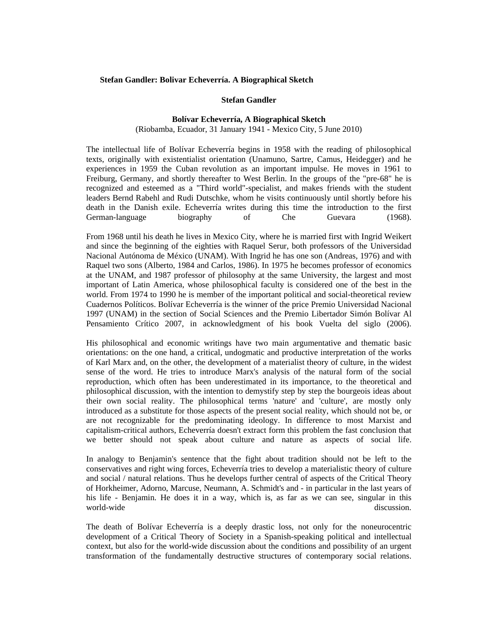#### **Stefan Gandler: Bolivar Echeverría. A Biographical Sketch**

### **Stefan Gandler**

#### **Bolívar Echeverría, A Biographical Sketch**

#### (Riobamba, Ecuador, 31 January 1941 - Mexico City, 5 June 2010)

The intellectual life of Bolívar Echeverría begins in 1958 with the reading of philosophical texts, originally with existentialist orientation (Unamuno, Sartre, Camus, Heidegger) and he experiences in 1959 the Cuban revolution as an important impulse. He moves in 1961 to Freiburg, Germany, and shortly thereafter to West Berlin. In the groups of the "pre-68" he is recognized and esteemed as a "Third world"-specialist, and makes friends with the student leaders Bernd Rabehl and Rudi Dutschke, whom he visits continuously until shortly before his death in the Danish exile. Echeverría writes during this time the introduction to the first German-language biography of Che Guevara (1968).

From 1968 until his death he lives in Mexico City, where he is married first with Ingrid Weikert and since the beginning of the eighties with Raquel Serur, both professors of the Universidad Nacional Autónoma de México (UNAM). With Ingrid he has one son (Andreas, 1976) and with Raquel two sons (Alberto, 1984 and Carlos, 1986). In 1975 he becomes professor of economics at the UNAM, and 1987 professor of philosophy at the same University, the largest and most important of Latin America, whose philosophical faculty is considered one of the best in the world. From 1974 to 1990 he is member of the important political and social-theoretical review Cuadernos Políticos. Bolívar Echeverría is the winner of the price Premio Universidad Nacional 1997 (UNAM) in the section of Social Sciences and the Premio Libertador Simón Bolívar Al Pensamiento Crítico 2007, in acknowledgment of his book Vuelta del siglo (2006).

His philosophical and economic writings have two main argumentative and thematic basic orientations: on the one hand, a critical, undogmatic and productive interpretation of the works of Karl Marx and, on the other, the development of a materialist theory of culture, in the widest sense of the word. He tries to introduce Marx's analysis of the natural form of the social reproduction, which often has been underestimated in its importance, to the theoretical and philosophical discussion, with the intention to demystify step by step the bourgeois ideas about their own social reality. The philosophical terms 'nature' and 'culture', are mostly only introduced as a substitute for those aspects of the present social reality, which should not be, or are not recognizable for the predominating ideology. In difference to most Marxist and capitalism-critical authors, Echeverría doesn't extract form this problem the fast conclusion that we better should not speak about culture and nature as aspects of social life.

In analogy to Benjamin's sentence that the fight about tradition should not be left to the conservatives and right wing forces, Echeverría tries to develop a materialistic theory of culture and social / natural relations. Thus he develops further central of aspects of the Critical Theory of Horkheimer, Adorno, Marcuse, Neumann, A. Schmidt's and - in particular in the last years of his life - Benjamin. He does it in a way, which is, as far as we can see, singular in this world-wide discussion.

The death of Bolívar Echeverría is a deeply drastic loss, not only for the noneurocentric development of a Critical Theory of Society in a Spanish-speaking political and intellectual context, but also for the world-wide discussion about the conditions and possibility of an urgent transformation of the fundamentally destructive structures of contemporary social relations.